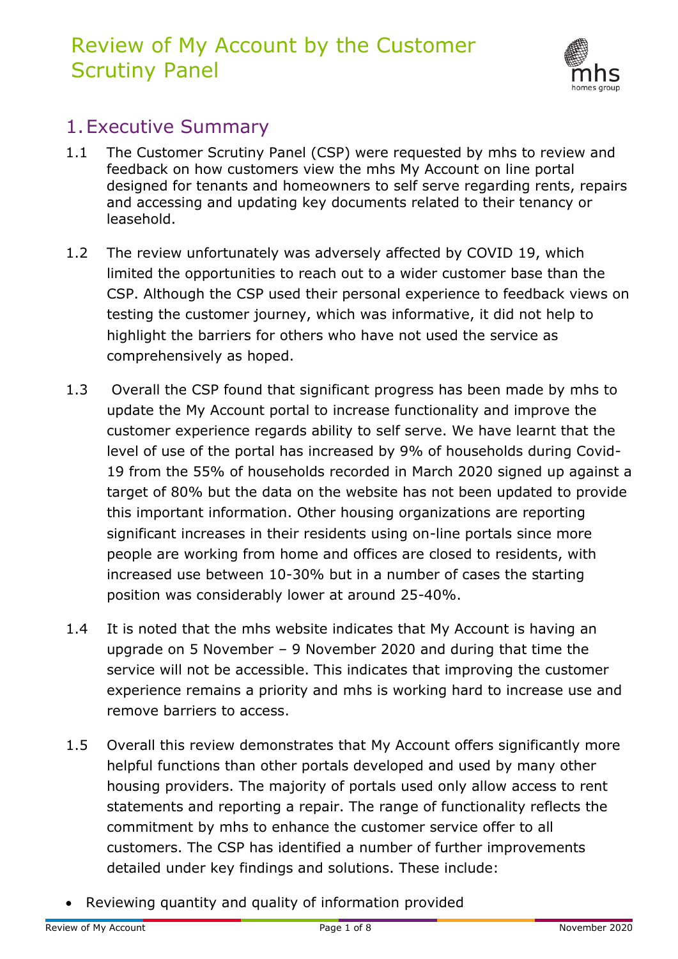# Review of My Account by the Customer Scrutiny Panel



### 1.Executive Summary

- 1.1 The Customer Scrutiny Panel (CSP) were requested by mhs to review and feedback on how customers view the mhs My Account on line portal designed for tenants and homeowners to self serve regarding rents, repairs and accessing and updating key documents related to their tenancy or leasehold.
- 1.2 The review unfortunately was adversely affected by COVID 19, which limited the opportunities to reach out to a wider customer base than the CSP. Although the CSP used their personal experience to feedback views on testing the customer journey, which was informative, it did not help to highlight the barriers for others who have not used the service as comprehensively as hoped.
- 1.3 Overall the CSP found that significant progress has been made by mhs to update the My Account portal to increase functionality and improve the customer experience regards ability to self serve. We have learnt that the level of use of the portal has increased by 9% of households during Covid-19 from the 55% of households recorded in March 2020 signed up against a target of 80% but the data on the website has not been updated to provide this important information. Other housing organizations are reporting significant increases in their residents using on-line portals since more people are working from home and offices are closed to residents, with increased use between 10-30% but in a number of cases the starting position was considerably lower at around 25-40%.
- 1.4 It is noted that the mhs website indicates that My Account is having an upgrade on 5 November – 9 November 2020 and during that time the service will not be accessible. This indicates that improving the customer experience remains a priority and mhs is working hard to increase use and remove barriers to access.
- 1.5 Overall this review demonstrates that My Account offers significantly more helpful functions than other portals developed and used by many other housing providers. The majority of portals used only allow access to rent statements and reporting a repair. The range of functionality reflects the commitment by mhs to enhance the customer service offer to all customers. The CSP has identified a number of further improvements detailed under key findings and solutions. These include:
- Reviewing quantity and quality of information provided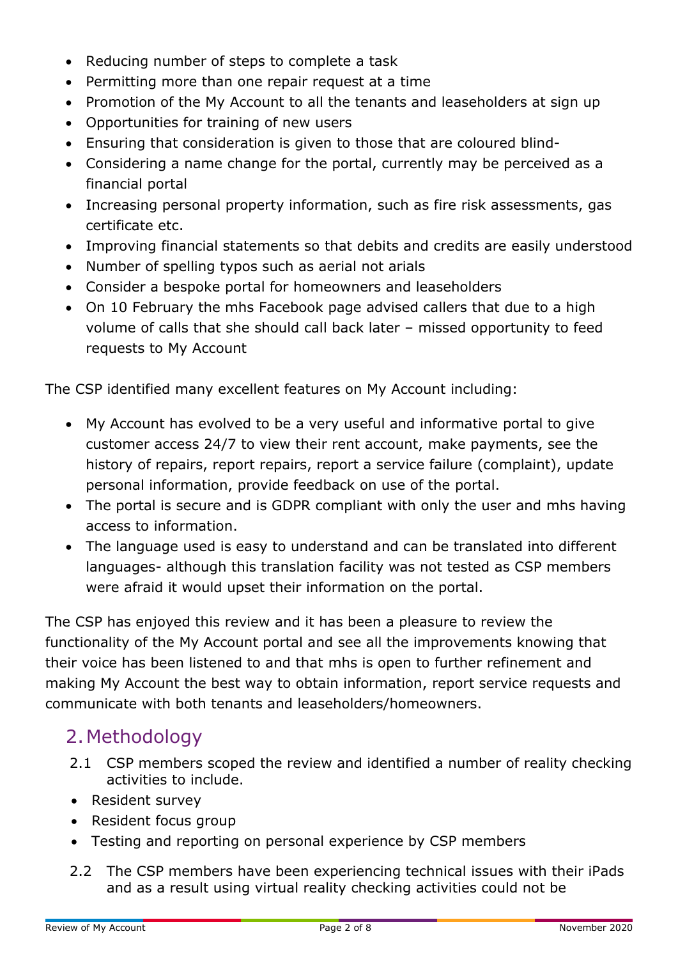- Reducing number of steps to complete a task
- Permitting more than one repair request at a time
- Promotion of the My Account to all the tenants and leaseholders at sign up
- Opportunities for training of new users
- Ensuring that consideration is given to those that are coloured blind-
- Considering a name change for the portal, currently may be perceived as a financial portal
- Increasing personal property information, such as fire risk assessments, gas certificate etc.
- Improving financial statements so that debits and credits are easily understood
- Number of spelling typos such as aerial not arials
- Consider a bespoke portal for homeowners and leaseholders
- On 10 February the mhs Facebook page advised callers that due to a high volume of calls that she should call back later – missed opportunity to feed requests to My Account

The CSP identified many excellent features on My Account including:

- My Account has evolved to be a very useful and informative portal to give customer access 24/7 to view their rent account, make payments, see the history of repairs, report repairs, report a service failure (complaint), update personal information, provide feedback on use of the portal.
- The portal is secure and is GDPR compliant with only the user and mhs having access to information.
- The language used is easy to understand and can be translated into different languages- although this translation facility was not tested as CSP members were afraid it would upset their information on the portal.

The CSP has enjoyed this review and it has been a pleasure to review the functionality of the My Account portal and see all the improvements knowing that their voice has been listened to and that mhs is open to further refinement and making My Account the best way to obtain information, report service requests and communicate with both tenants and leaseholders/homeowners.

## 2.Methodology

- 2.1 CSP members scoped the review and identified a number of reality checking activities to include.
- Resident survey
- Resident focus group
- Testing and reporting on personal experience by CSP members
- 2.2 The CSP members have been experiencing technical issues with their iPads and as a result using virtual reality checking activities could not be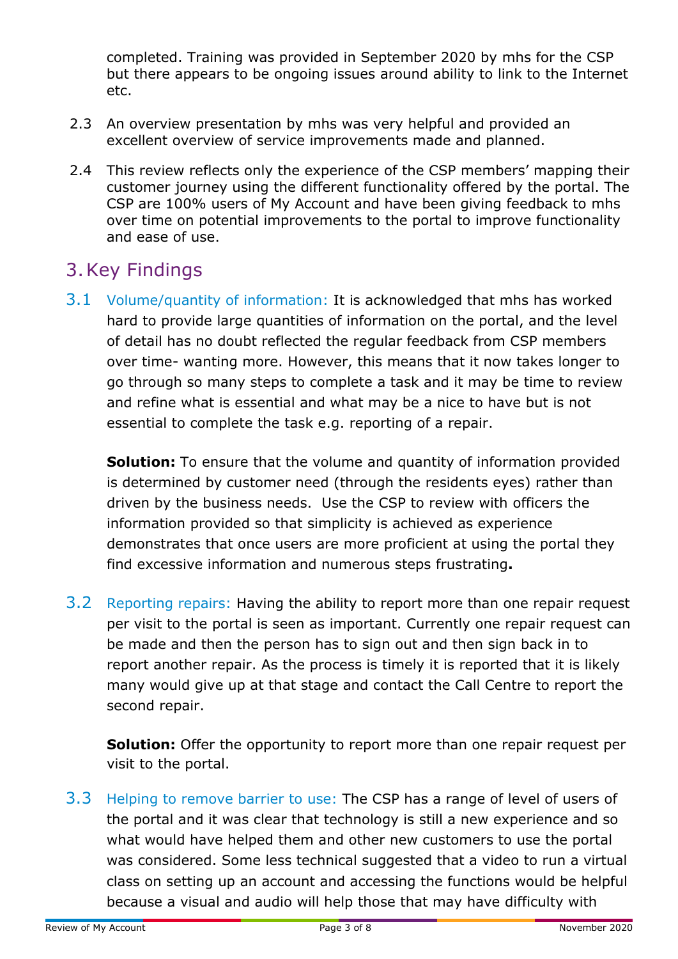completed. Training was provided in September 2020 by mhs for the CSP but there appears to be ongoing issues around ability to link to the Internet etc.

- 2.3 An overview presentation by mhs was very helpful and provided an excellent overview of service improvements made and planned.
- 2.4 This review reflects only the experience of the CSP members' mapping their customer journey using the different functionality offered by the portal. The CSP are 100% users of My Account and have been giving feedback to mhs over time on potential improvements to the portal to improve functionality and ease of use.

#### 3.Key Findings

3.1 Volume/quantity of information: It is acknowledged that mhs has worked hard to provide large quantities of information on the portal, and the level of detail has no doubt reflected the regular feedback from CSP members over time- wanting more. However, this means that it now takes longer to go through so many steps to complete a task and it may be time to review and refine what is essential and what may be a nice to have but is not essential to complete the task e.g. reporting of a repair.

**Solution:** To ensure that the volume and quantity of information provided is determined by customer need (through the residents eyes) rather than driven by the business needs. Use the CSP to review with officers the information provided so that simplicity is achieved as experience demonstrates that once users are more proficient at using the portal they find excessive information and numerous steps frustrating**.**

3.2 Reporting repairs: Having the ability to report more than one repair request per visit to the portal is seen as important. Currently one repair request can be made and then the person has to sign out and then sign back in to report another repair. As the process is timely it is reported that it is likely many would give up at that stage and contact the Call Centre to report the second repair.

**Solution:** Offer the opportunity to report more than one repair request per visit to the portal.

3.3 Helping to remove barrier to use: The CSP has a range of level of users of the portal and it was clear that technology is still a new experience and so what would have helped them and other new customers to use the portal was considered. Some less technical suggested that a video to run a virtual class on setting up an account and accessing the functions would be helpful because a visual and audio will help those that may have difficulty with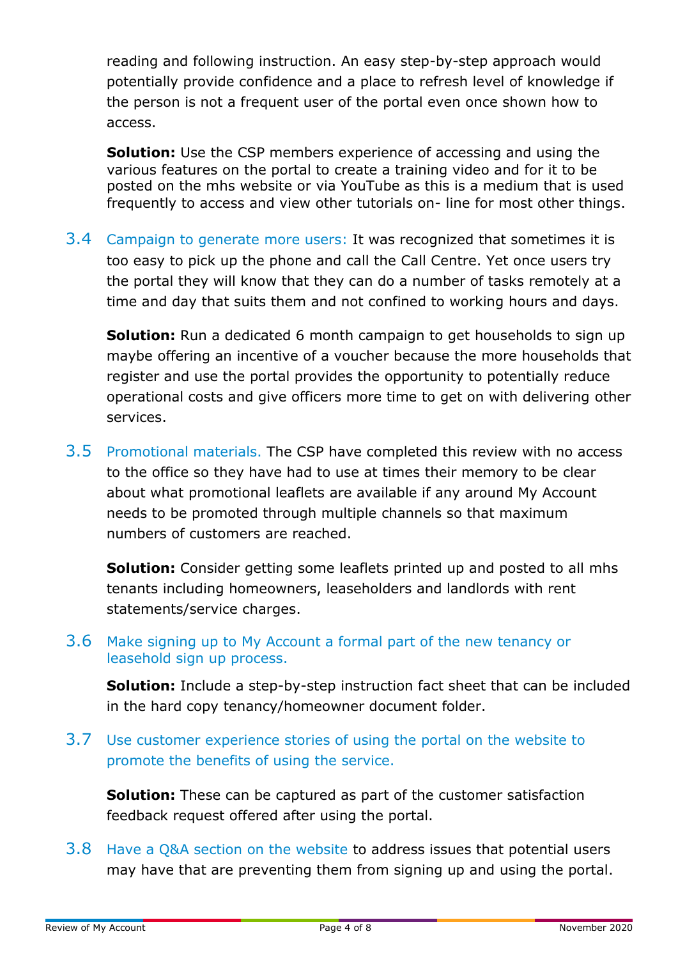reading and following instruction. An easy step-by-step approach would potentially provide confidence and a place to refresh level of knowledge if the person is not a frequent user of the portal even once shown how to access.

**Solution:** Use the CSP members experience of accessing and using the various features on the portal to create a training video and for it to be posted on the mhs website or via YouTube as this is a medium that is used frequently to access and view other tutorials on- line for most other things.

3.4 Campaign to generate more users: It was recognized that sometimes it is too easy to pick up the phone and call the Call Centre. Yet once users try the portal they will know that they can do a number of tasks remotely at a time and day that suits them and not confined to working hours and days.

**Solution:** Run a dedicated 6 month campaign to get households to sign up maybe offering an incentive of a voucher because the more households that register and use the portal provides the opportunity to potentially reduce operational costs and give officers more time to get on with delivering other services.

3.5 Promotional materials. The CSP have completed this review with no access to the office so they have had to use at times their memory to be clear about what promotional leaflets are available if any around My Account needs to be promoted through multiple channels so that maximum numbers of customers are reached.

**Solution:** Consider getting some leaflets printed up and posted to all mhs tenants including homeowners, leaseholders and landlords with rent statements/service charges.

#### 3.6 Make signing up to My Account a formal part of the new tenancy or leasehold sign up process.

**Solution:** Include a step-by-step instruction fact sheet that can be included in the hard copy tenancy/homeowner document folder.

3.7 Use customer experience stories of using the portal on the website to promote the benefits of using the service.

**Solution:** These can be captured as part of the customer satisfaction feedback request offered after using the portal.

3.8 Have a Q&A section on the website to address issues that potential users may have that are preventing them from signing up and using the portal.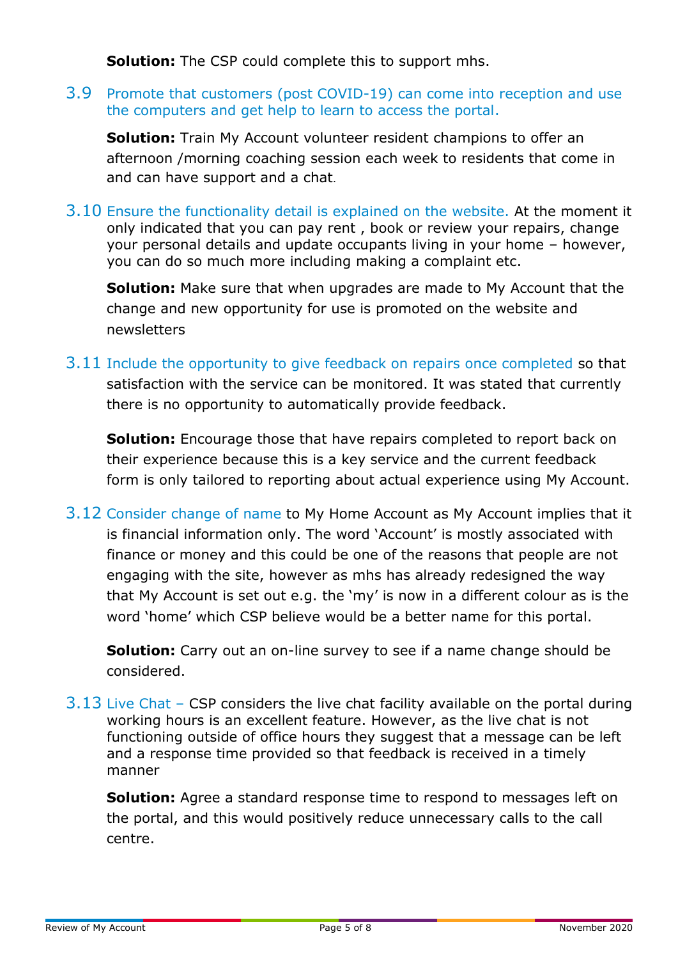**Solution:** The CSP could complete this to support mhs.

3.9 Promote that customers (post COVID-19) can come into reception and use the computers and get help to learn to access the portal.

**Solution:** Train My Account volunteer resident champions to offer an afternoon /morning coaching session each week to residents that come in and can have support and a chat.

3.10 Ensure the functionality detail is explained on the website. At the moment it only indicated that you can pay rent , book or review your repairs, change your personal details and update occupants living in your home – however, you can do so much more including making a complaint etc.

**Solution:** Make sure that when upgrades are made to My Account that the change and new opportunity for use is promoted on the website and newsletters

3.11 Include the opportunity to give feedback on repairs once completed so that satisfaction with the service can be monitored. It was stated that currently there is no opportunity to automatically provide feedback.

**Solution:** Encourage those that have repairs completed to report back on their experience because this is a key service and the current feedback form is only tailored to reporting about actual experience using My Account.

3.12 Consider change of name to My Home Account as My Account implies that it is financial information only. The word 'Account' is mostly associated with finance or money and this could be one of the reasons that people are not engaging with the site, however as mhs has already redesigned the way that My Account is set out e.g. the 'my' is now in a different colour as is the word 'home' which CSP believe would be a better name for this portal.

**Solution:** Carry out an on-line survey to see if a name change should be considered.

3.13 Live Chat – CSP considers the live chat facility available on the portal during working hours is an excellent feature. However, as the live chat is not functioning outside of office hours they suggest that a message can be left and a response time provided so that feedback is received in a timely manner

**Solution:** Agree a standard response time to respond to messages left on the portal, and this would positively reduce unnecessary calls to the call centre.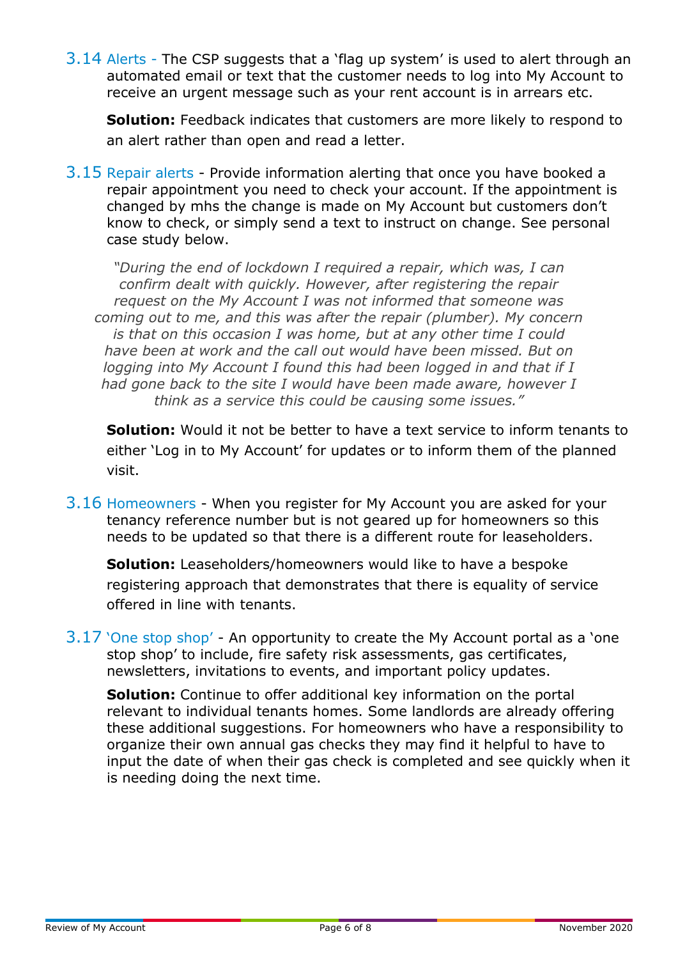3.14 Alerts - The CSP suggests that a 'flag up system' is used to alert through an automated email or text that the customer needs to log into My Account to receive an urgent message such as your rent account is in arrears etc.

**Solution:** Feedback indicates that customers are more likely to respond to an alert rather than open and read a letter.

3.15 Repair alerts - Provide information alerting that once you have booked a repair appointment you need to check your account. If the appointment is changed by mhs the change is made on My Account but customers don't know to check, or simply send a text to instruct on change. See personal case study below.

*"During the end of lockdown I required a repair, which was, I can confirm dealt with quickly. However, after registering the repair request on the My Account I was not informed that someone was coming out to me, and this was after the repair (plumber). My concern is that on this occasion I was home, but at any other time I could have been at work and the call out would have been missed. But on logging into My Account I found this had been logged in and that if I had gone back to the site I would have been made aware, however I think as a service this could be causing some issues."*

**Solution:** Would it not be better to have a text service to inform tenants to either 'Log in to My Account' for updates or to inform them of the planned visit.

3.16 Homeowners - When you register for My Account you are asked for your tenancy reference number but is not geared up for homeowners so this needs to be updated so that there is a different route for leaseholders.

**Solution:** Leaseholders/homeowners would like to have a bespoke registering approach that demonstrates that there is equality of service offered in line with tenants.

3.17 'One stop shop' - An opportunity to create the My Account portal as a 'one stop shop' to include, fire safety risk assessments, gas certificates, newsletters, invitations to events, and important policy updates.

**Solution:** Continue to offer additional key information on the portal relevant to individual tenants homes. Some landlords are already offering these additional suggestions. For homeowners who have a responsibility to organize their own annual gas checks they may find it helpful to have to input the date of when their gas check is completed and see quickly when it is needing doing the next time.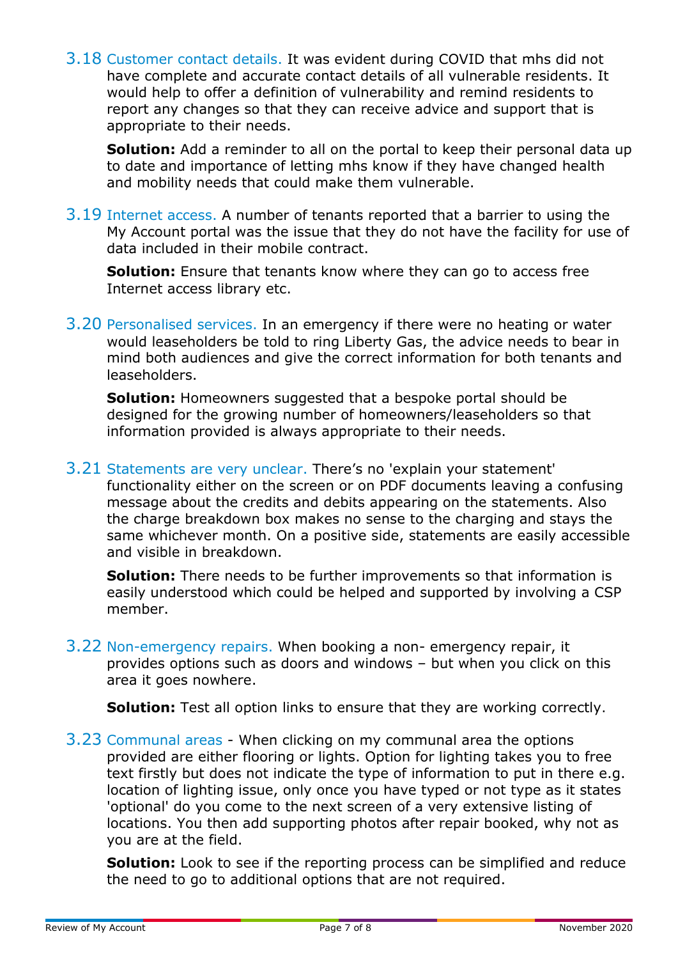3.18 Customer contact details. It was evident during COVID that mhs did not have complete and accurate contact details of all vulnerable residents. It would help to offer a definition of vulnerability and remind residents to report any changes so that they can receive advice and support that is appropriate to their needs.

**Solution:** Add a reminder to all on the portal to keep their personal data up to date and importance of letting mhs know if they have changed health and mobility needs that could make them vulnerable.

3.19 Internet access. A number of tenants reported that a barrier to using the My Account portal was the issue that they do not have the facility for use of data included in their mobile contract.

**Solution:** Ensure that tenants know where they can go to access free Internet access library etc.

3.20 Personalised services. In an emergency if there were no heating or water would leaseholders be told to ring Liberty Gas, the advice needs to bear in mind both audiences and give the correct information for both tenants and leaseholders.

**Solution:** Homeowners suggested that a bespoke portal should be designed for the growing number of homeowners/leaseholders so that information provided is always appropriate to their needs.

3.21 Statements are very unclear. There's no 'explain your statement' functionality either on the screen or on PDF documents leaving a confusing message about the credits and debits appearing on the statements. Also the charge breakdown box makes no sense to the charging and stays the same whichever month. On a positive side, statements are easily accessible and visible in breakdown.

**Solution:** There needs to be further improvements so that information is easily understood which could be helped and supported by involving a CSP member.

3.22 Non-emergency repairs. When booking a non- emergency repair, it provides options such as doors and windows – but when you click on this area it goes nowhere.

**Solution:** Test all option links to ensure that they are working correctly.

3.23 Communal areas - When clicking on my communal area the options provided are either flooring or lights. Option for lighting takes you to free text firstly but does not indicate the type of information to put in there e.g. location of lighting issue, only once you have typed or not type as it states 'optional' do you come to the next screen of a very extensive listing of locations. You then add supporting photos after repair booked, why not as you are at the field.

**Solution:** Look to see if the reporting process can be simplified and reduce the need to go to additional options that are not required.